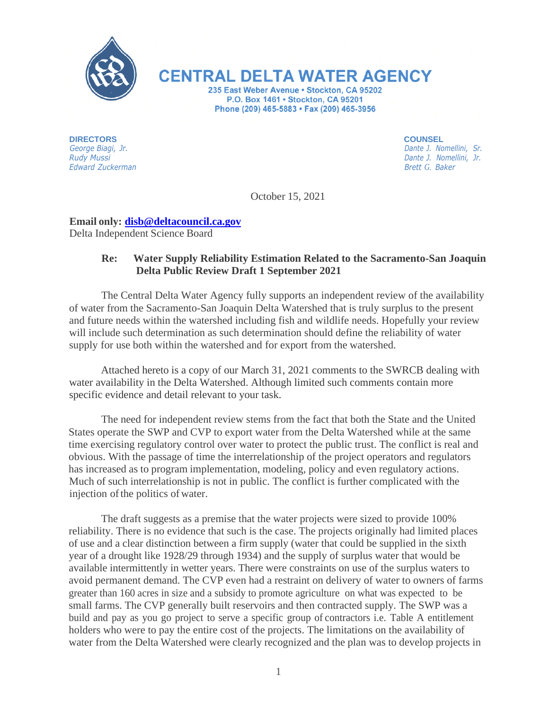

**CENTRAL DELTA WATER AGENCY** 

235 East Weber Avenue · Stockton, CA 95202 P.O. Box 1461 . Stockton, CA 95201 Phone (209) 465-5883 • Fax (209) 465-3956

**DIRECTORS**  *George Biagi, Jr. Rudy Mussi Edward Zuckerman*  **COUNSEL**

*Dante J. Nomellini, Sr. Dante J. Nomellini, Jr. Brett G. Baker*

October 15, 2021

## **Email only: [disb@deltacouncil.ca.gov](mailto:disb@deltacouncil.ca.gov)** Delta Independent Science Board

## **Re: Water Supply Reliability Estimation Related to the Sacramento-San Joaquin Delta Public Review Draft 1 September 2021**

The Central Delta Water Agency fully supports an independent review of the availability of water from the Sacramento-San Joaquin Delta Watershed that is truly surplus to the present and future needs within the watershed including fish and wildlife needs. Hopefully your review will include such determination as such determination should define the reliability of water supply for use both within the watershed and for export from the watershed.

Attached hereto is a copy of our March 31, 2021 comments to the SWRCB dealing with water availability in the Delta Watershed. Although limited such comments contain more specific evidence and detail relevant to your task.

The need for independent review stems from the fact that both the State and the United States operate the SWP and CVP to export water from the Delta Watershed while at the same time exercising regulatory control over water to protect the public trust. The conflict is real and obvious. With the passage of time the interrelationship of the project operators and regulators has increased as to program implementation, modeling, policy and even regulatory actions. Much of such interrelationship is not in public. The conflict is further complicated with the injection of the politics of water.

The draft suggests as a premise that the water projects were sized to provide 100% reliability. There is no evidence that such is the case. The projects originally had limited places of use and a clear distinction between a firm supply (water that could be supplied in the sixth year of a drought like 1928/29 through 1934) and the supply of surplus water that would be available intermittently in wetter years. There were constraints on use of the surplus waters to avoid permanent demand. The CVP even had a restraint on delivery of water to owners of farms greater than 160 acres in size and a subsidy to promote agriculture on what was expected to be small farms. The CVP generally built reservoirs and then contracted supply. The SWP was a build and pay as you go project to serve a specific group of contractors i.e. Table A entitlement holders who were to pay the entire cost of the projects. The limitations on the availability of water from the Delta Watershed were clearly recognized and the plan was to develop projects in